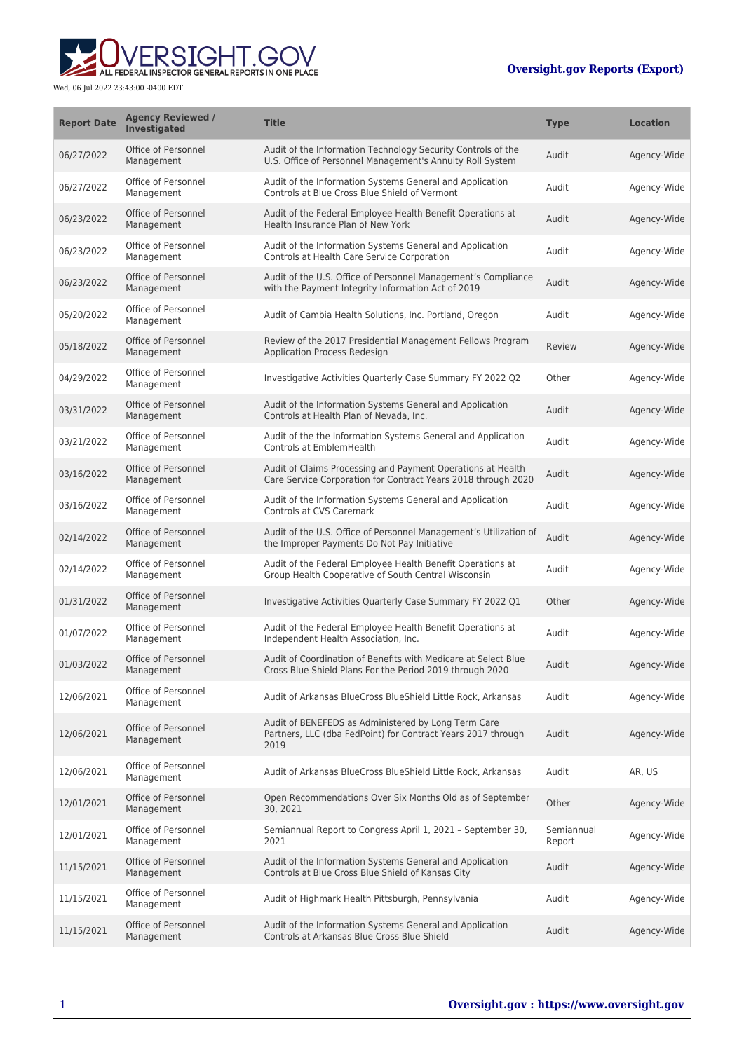

| <b>Report Date</b> | <b>Agency Reviewed /</b><br>Investigated | <b>Title</b>                                                                                                                 | <b>Type</b>          | <b>Location</b> |
|--------------------|------------------------------------------|------------------------------------------------------------------------------------------------------------------------------|----------------------|-----------------|
| 06/27/2022         | Office of Personnel<br>Management        | Audit of the Information Technology Security Controls of the<br>U.S. Office of Personnel Management's Annuity Roll System    | Audit                | Agency-Wide     |
| 06/27/2022         | Office of Personnel<br>Management        | Audit of the Information Systems General and Application<br>Controls at Blue Cross Blue Shield of Vermont                    | Audit                | Agency-Wide     |
| 06/23/2022         | Office of Personnel<br>Management        | Audit of the Federal Employee Health Benefit Operations at<br>Health Insurance Plan of New York                              | Audit                | Agency-Wide     |
| 06/23/2022         | Office of Personnel<br>Management        | Audit of the Information Systems General and Application<br>Controls at Health Care Service Corporation                      | Audit                | Agency-Wide     |
| 06/23/2022         | Office of Personnel<br>Management        | Audit of the U.S. Office of Personnel Management's Compliance<br>with the Payment Integrity Information Act of 2019          | Audit                | Agency-Wide     |
| 05/20/2022         | Office of Personnel<br>Management        | Audit of Cambia Health Solutions, Inc. Portland, Oregon                                                                      | Audit                | Agency-Wide     |
| 05/18/2022         | Office of Personnel<br>Management        | Review of the 2017 Presidential Management Fellows Program<br>Application Process Redesign                                   | Review               | Agency-Wide     |
| 04/29/2022         | Office of Personnel<br>Management        | Investigative Activities Quarterly Case Summary FY 2022 Q2                                                                   | Other                | Agency-Wide     |
| 03/31/2022         | Office of Personnel<br>Management        | Audit of the Information Systems General and Application<br>Controls at Health Plan of Nevada, Inc.                          | Audit                | Agency-Wide     |
| 03/21/2022         | Office of Personnel<br>Management        | Audit of the the Information Systems General and Application<br>Controls at EmblemHealth                                     | Audit                | Agency-Wide     |
| 03/16/2022         | Office of Personnel<br>Management        | Audit of Claims Processing and Payment Operations at Health<br>Care Service Corporation for Contract Years 2018 through 2020 | Audit                | Agency-Wide     |
| 03/16/2022         | Office of Personnel<br>Management        | Audit of the Information Systems General and Application<br>Controls at CVS Caremark                                         | Audit                | Agency-Wide     |
| 02/14/2022         | Office of Personnel<br>Management        | Audit of the U.S. Office of Personnel Management's Utilization of<br>the Improper Payments Do Not Pay Initiative             | Audit                | Agency-Wide     |
| 02/14/2022         | Office of Personnel<br>Management        | Audit of the Federal Employee Health Benefit Operations at<br>Group Health Cooperative of South Central Wisconsin            | Audit                | Agency-Wide     |
| 01/31/2022         | Office of Personnel<br>Management        | Investigative Activities Quarterly Case Summary FY 2022 Q1                                                                   | Other                | Agency-Wide     |
| 01/07/2022         | Office of Personnel<br>Management        | Audit of the Federal Employee Health Benefit Operations at<br>Independent Health Association, Inc.                           | Audit                | Agency-Wide     |
| 01/03/2022         | Office of Personnel<br>Management        | Audit of Coordination of Benefits with Medicare at Select Blue<br>Cross Blue Shield Plans For the Period 2019 through 2020   | Audit                | Agency-Wide     |
| 12/06/2021         | Office of Personnel<br>Management        | Audit of Arkansas BlueCross BlueShield Little Rock, Arkansas                                                                 | Audit                | Agency-Wide     |
| 12/06/2021         | Office of Personnel<br>Management        | Audit of BENEFEDS as Administered by Long Term Care<br>Partners, LLC (dba FedPoint) for Contract Years 2017 through<br>2019  | Audit                | Agency-Wide     |
| 12/06/2021         | Office of Personnel<br>Management        | Audit of Arkansas BlueCross BlueShield Little Rock, Arkansas                                                                 | Audit                | AR, US          |
| 12/01/2021         | Office of Personnel<br>Management        | Open Recommendations Over Six Months Old as of September<br>30, 2021                                                         | Other                | Agency-Wide     |
| 12/01/2021         | Office of Personnel<br>Management        | Semiannual Report to Congress April 1, 2021 - September 30,<br>2021                                                          | Semiannual<br>Report | Agency-Wide     |
| 11/15/2021         | Office of Personnel<br>Management        | Audit of the Information Systems General and Application<br>Controls at Blue Cross Blue Shield of Kansas City                | Audit                | Agency-Wide     |
| 11/15/2021         | Office of Personnel<br>Management        | Audit of Highmark Health Pittsburgh, Pennsylvania                                                                            | Audit                | Agency-Wide     |
| 11/15/2021         | Office of Personnel<br>Management        | Audit of the Information Systems General and Application<br>Controls at Arkansas Blue Cross Blue Shield                      | Audit                | Agency-Wide     |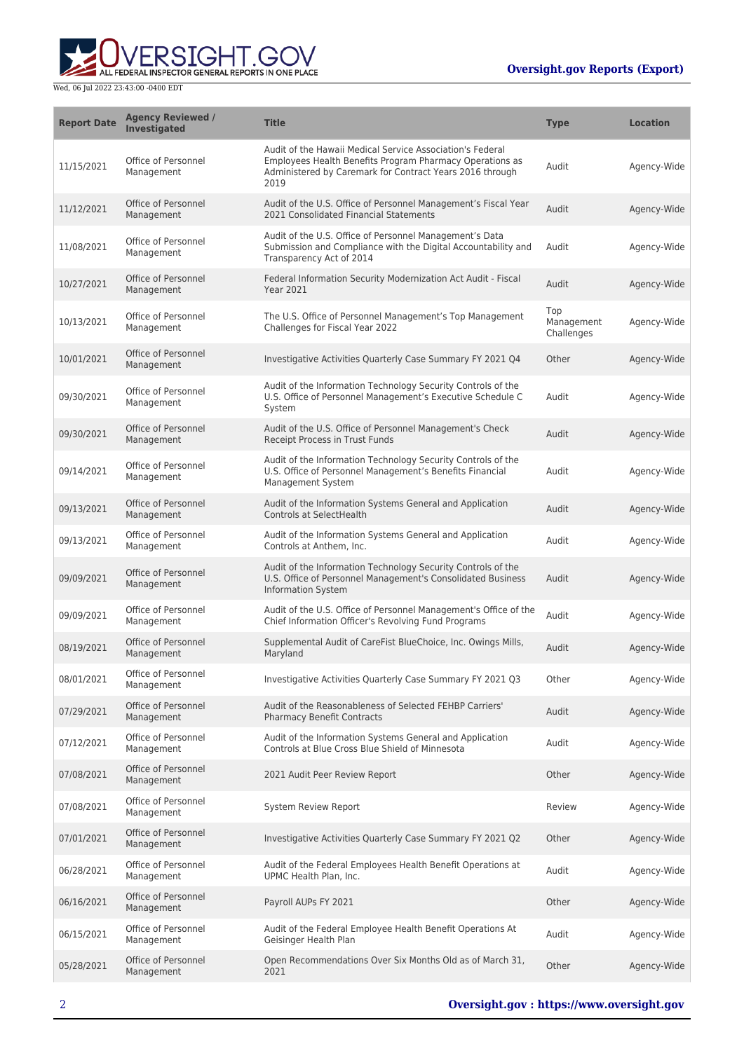

| <b>Report Date</b> | <b>Agency Reviewed /</b><br><b>Investigated</b> | <b>Title</b>                                                                                                                                                                              | <b>Type</b>                     | <b>Location</b> |
|--------------------|-------------------------------------------------|-------------------------------------------------------------------------------------------------------------------------------------------------------------------------------------------|---------------------------------|-----------------|
| 11/15/2021         | Office of Personnel<br>Management               | Audit of the Hawaii Medical Service Association's Federal<br>Employees Health Benefits Program Pharmacy Operations as<br>Administered by Caremark for Contract Years 2016 through<br>2019 | Audit                           | Agency-Wide     |
| 11/12/2021         | Office of Personnel<br>Management               | Audit of the U.S. Office of Personnel Management's Fiscal Year<br>2021 Consolidated Financial Statements                                                                                  | Audit                           | Agency-Wide     |
| 11/08/2021         | Office of Personnel<br>Management               | Audit of the U.S. Office of Personnel Management's Data<br>Submission and Compliance with the Digital Accountability and<br>Transparency Act of 2014                                      | Audit                           | Agency-Wide     |
| 10/27/2021         | Office of Personnel<br>Management               | Federal Information Security Modernization Act Audit - Fiscal<br><b>Year 2021</b>                                                                                                         | Audit                           | Agency-Wide     |
| 10/13/2021         | Office of Personnel<br>Management               | The U.S. Office of Personnel Management's Top Management<br>Challenges for Fiscal Year 2022                                                                                               | Top<br>Management<br>Challenges | Agency-Wide     |
| 10/01/2021         | Office of Personnel<br>Management               | Investigative Activities Quarterly Case Summary FY 2021 Q4                                                                                                                                | Other                           | Agency-Wide     |
| 09/30/2021         | Office of Personnel<br>Management               | Audit of the Information Technology Security Controls of the<br>U.S. Office of Personnel Management's Executive Schedule C<br>System                                                      | Audit                           | Agency-Wide     |
| 09/30/2021         | Office of Personnel<br>Management               | Audit of the U.S. Office of Personnel Management's Check<br>Receipt Process in Trust Funds                                                                                                | Audit                           | Agency-Wide     |
| 09/14/2021         | Office of Personnel<br>Management               | Audit of the Information Technology Security Controls of the<br>U.S. Office of Personnel Management's Benefits Financial<br>Management System                                             | Audit                           | Agency-Wide     |
| 09/13/2021         | Office of Personnel<br>Management               | Audit of the Information Systems General and Application<br>Controls at SelectHealth                                                                                                      | Audit                           | Agency-Wide     |
| 09/13/2021         | Office of Personnel<br>Management               | Audit of the Information Systems General and Application<br>Controls at Anthem, Inc.                                                                                                      | Audit                           | Agency-Wide     |
| 09/09/2021         | Office of Personnel<br>Management               | Audit of the Information Technology Security Controls of the<br>U.S. Office of Personnel Management's Consolidated Business<br><b>Information System</b>                                  | Audit                           | Agency-Wide     |
| 09/09/2021         | Office of Personnel<br>Management               | Audit of the U.S. Office of Personnel Management's Office of the<br>Chief Information Officer's Revolving Fund Programs                                                                   | Audit                           | Agency-Wide     |
| 08/19/2021         | Office of Personnel<br>Management               | Supplemental Audit of CareFist BlueChoice, Inc. Owings Mills,<br>Maryland                                                                                                                 | Audit                           | Agency-Wide     |
| 08/01/2021         | Office of Personnel<br>Management               | Investigative Activities Quarterly Case Summary FY 2021 Q3                                                                                                                                | Other                           | Agency-Wide     |
| 07/29/2021         | Office of Personnel<br>Management               | Audit of the Reasonableness of Selected FEHBP Carriers'<br><b>Pharmacy Benefit Contracts</b>                                                                                              | Audit                           | Agency-Wide     |
| 07/12/2021         | Office of Personnel<br>Management               | Audit of the Information Systems General and Application<br>Controls at Blue Cross Blue Shield of Minnesota                                                                               | Audit                           | Agency-Wide     |
| 07/08/2021         | Office of Personnel<br>Management               | 2021 Audit Peer Review Report                                                                                                                                                             | Other                           | Agency-Wide     |
| 07/08/2021         | Office of Personnel<br>Management               | <b>System Review Report</b>                                                                                                                                                               | Review                          | Agency-Wide     |
| 07/01/2021         | Office of Personnel<br>Management               | Investigative Activities Quarterly Case Summary FY 2021 Q2                                                                                                                                | Other                           | Agency-Wide     |
| 06/28/2021         | Office of Personnel<br>Management               | Audit of the Federal Employees Health Benefit Operations at<br>UPMC Health Plan, Inc.                                                                                                     | Audit                           | Agency-Wide     |
| 06/16/2021         | Office of Personnel<br>Management               | Payroll AUPs FY 2021                                                                                                                                                                      | Other                           | Agency-Wide     |
| 06/15/2021         | Office of Personnel<br>Management               | Audit of the Federal Employee Health Benefit Operations At<br>Geisinger Health Plan                                                                                                       | Audit                           | Agency-Wide     |
| 05/28/2021         | Office of Personnel<br>Management               | Open Recommendations Over Six Months Old as of March 31,<br>2021                                                                                                                          | Other                           | Agency-Wide     |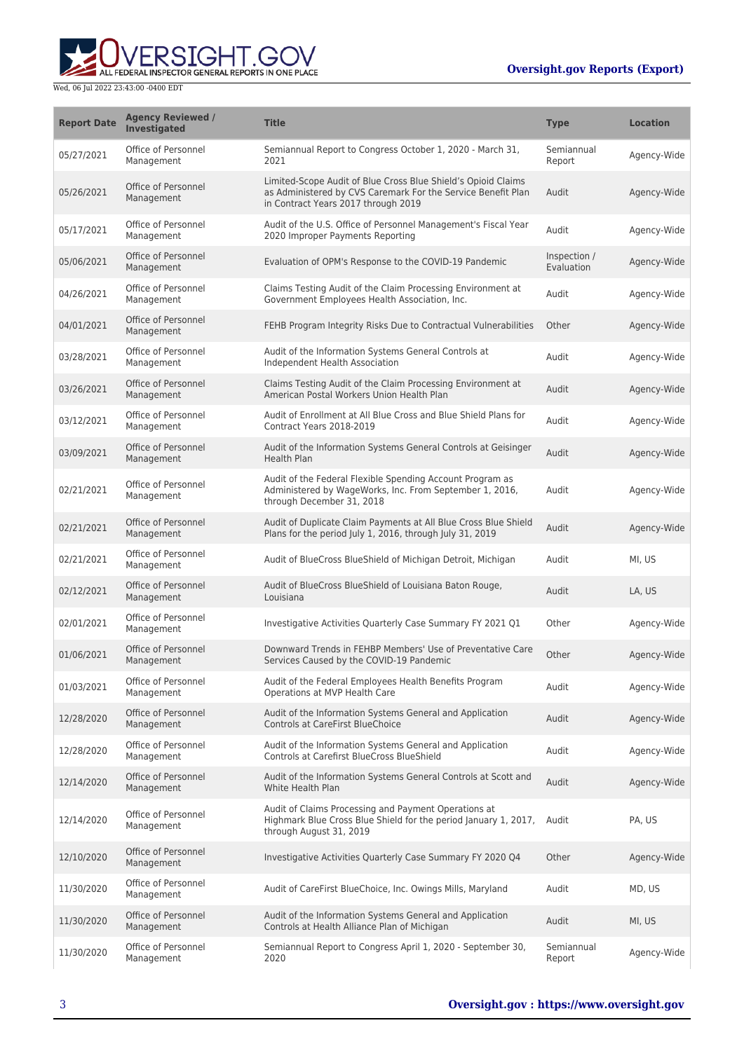

| <b>Report Date</b> | <b>Agency Reviewed /</b><br>Investigated | <b>Title</b>                                                                                                                                                         | <b>Type</b>                | <b>Location</b> |
|--------------------|------------------------------------------|----------------------------------------------------------------------------------------------------------------------------------------------------------------------|----------------------------|-----------------|
| 05/27/2021         | Office of Personnel<br>Management        | Semiannual Report to Congress October 1, 2020 - March 31,<br>2021                                                                                                    | Semiannual<br>Report       | Agency-Wide     |
| 05/26/2021         | Office of Personnel<br>Management        | Limited-Scope Audit of Blue Cross Blue Shield's Opioid Claims<br>as Administered by CVS Caremark For the Service Benefit Plan<br>in Contract Years 2017 through 2019 | Audit                      | Agency-Wide     |
| 05/17/2021         | Office of Personnel<br>Management        | Audit of the U.S. Office of Personnel Management's Fiscal Year<br>2020 Improper Payments Reporting                                                                   | Audit                      | Agency-Wide     |
| 05/06/2021         | Office of Personnel<br>Management        | Evaluation of OPM's Response to the COVID-19 Pandemic                                                                                                                | Inspection /<br>Evaluation | Agency-Wide     |
| 04/26/2021         | Office of Personnel<br>Management        | Claims Testing Audit of the Claim Processing Environment at<br>Government Employees Health Association, Inc.                                                         | Audit                      | Agency-Wide     |
| 04/01/2021         | Office of Personnel<br>Management        | FEHB Program Integrity Risks Due to Contractual Vulnerabilities                                                                                                      | Other                      | Agency-Wide     |
| 03/28/2021         | Office of Personnel<br>Management        | Audit of the Information Systems General Controls at<br>Independent Health Association                                                                               | Audit                      | Agency-Wide     |
| 03/26/2021         | Office of Personnel<br>Management        | Claims Testing Audit of the Claim Processing Environment at<br>American Postal Workers Union Health Plan                                                             | Audit                      | Agency-Wide     |
| 03/12/2021         | Office of Personnel<br>Management        | Audit of Enrollment at All Blue Cross and Blue Shield Plans for<br>Contract Years 2018-2019                                                                          | Audit                      | Agency-Wide     |
| 03/09/2021         | Office of Personnel<br>Management        | Audit of the Information Systems General Controls at Geisinger<br>Health Plan                                                                                        | Audit                      | Agency-Wide     |
| 02/21/2021         | Office of Personnel<br>Management        | Audit of the Federal Flexible Spending Account Program as<br>Administered by WageWorks, Inc. From September 1, 2016,<br>through December 31, 2018                    | Audit                      | Agency-Wide     |
| 02/21/2021         | Office of Personnel<br>Management        | Audit of Duplicate Claim Payments at All Blue Cross Blue Shield<br>Plans for the period July 1, 2016, through July 31, 2019                                          | Audit                      | Agency-Wide     |
| 02/21/2021         | Office of Personnel<br>Management        | Audit of BlueCross BlueShield of Michigan Detroit, Michigan                                                                                                          | Audit                      | MI, US          |
| 02/12/2021         | Office of Personnel<br>Management        | Audit of BlueCross BlueShield of Louisiana Baton Rouge,<br>Louisiana                                                                                                 | Audit                      | LA, US          |
| 02/01/2021         | Office of Personnel<br>Management        | Investigative Activities Quarterly Case Summary FY 2021 Q1                                                                                                           | Other                      | Agency-Wide     |
| 01/06/2021         | Office of Personnel<br>Management        | Downward Trends in FEHBP Members' Use of Preventative Care<br>Services Caused by the COVID-19 Pandemic                                                               | Other                      | Agency-Wide     |
| 01/03/2021         | Office of Personnel<br>Management        | Audit of the Federal Employees Health Benefits Program<br>Operations at MVP Health Care                                                                              | Audit                      | Agency-Wide     |
| 12/28/2020         | Office of Personnel<br>Management        | Audit of the Information Systems General and Application<br>Controls at CareFirst BlueChoice                                                                         | Audit                      | Agency-Wide     |
| 12/28/2020         | Office of Personnel<br>Management        | Audit of the Information Systems General and Application<br>Controls at Carefirst BlueCross BlueShield                                                               | Audit                      | Agency-Wide     |
| 12/14/2020         | Office of Personnel<br>Management        | Audit of the Information Systems General Controls at Scott and<br>White Health Plan                                                                                  | Audit                      | Agency-Wide     |
| 12/14/2020         | Office of Personnel<br>Management        | Audit of Claims Processing and Payment Operations at<br>Highmark Blue Cross Blue Shield for the period January 1, 2017,<br>through August 31, 2019                   | Audit                      | PA, US          |
| 12/10/2020         | Office of Personnel<br>Management        | Investigative Activities Quarterly Case Summary FY 2020 Q4                                                                                                           | Other                      | Agency-Wide     |
| 11/30/2020         | Office of Personnel<br>Management        | Audit of CareFirst BlueChoice, Inc. Owings Mills, Maryland                                                                                                           | Audit                      | MD, US          |
| 11/30/2020         | Office of Personnel<br>Management        | Audit of the Information Systems General and Application<br>Controls at Health Alliance Plan of Michigan                                                             | Audit                      | MI, US          |
| 11/30/2020         | Office of Personnel<br>Management        | Semiannual Report to Congress April 1, 2020 - September 30,<br>2020                                                                                                  | Semiannual<br>Report       | Agency-Wide     |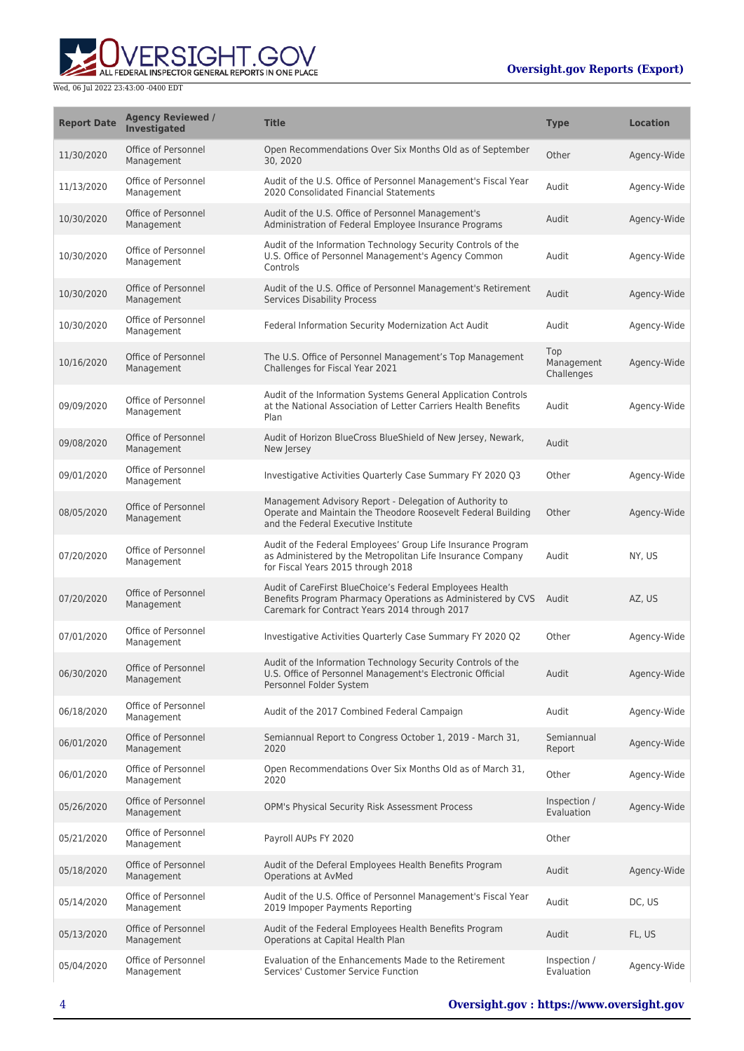

| <b>Report Date</b> | <b>Agency Reviewed /</b><br>Investigated | <b>Title</b>                                                                                                                                                             | <b>Type</b>                     | <b>Location</b> |
|--------------------|------------------------------------------|--------------------------------------------------------------------------------------------------------------------------------------------------------------------------|---------------------------------|-----------------|
| 11/30/2020         | Office of Personnel<br>Management        | Open Recommendations Over Six Months Old as of September<br>30, 2020                                                                                                     | Other                           | Agency-Wide     |
| 11/13/2020         | Office of Personnel<br>Management        | Audit of the U.S. Office of Personnel Management's Fiscal Year<br>2020 Consolidated Financial Statements                                                                 | Audit                           | Agency-Wide     |
| 10/30/2020         | Office of Personnel<br>Management        | Audit of the U.S. Office of Personnel Management's<br>Administration of Federal Employee Insurance Programs                                                              | Audit                           | Agency-Wide     |
| 10/30/2020         | Office of Personnel<br>Management        | Audit of the Information Technology Security Controls of the<br>U.S. Office of Personnel Management's Agency Common<br>Controls                                          | Audit                           | Agency-Wide     |
| 10/30/2020         | Office of Personnel<br>Management        | Audit of the U.S. Office of Personnel Management's Retirement<br><b>Services Disability Process</b>                                                                      | Audit                           | Agency-Wide     |
| 10/30/2020         | Office of Personnel<br>Management        | Federal Information Security Modernization Act Audit                                                                                                                     | Audit                           | Agency-Wide     |
| 10/16/2020         | Office of Personnel<br>Management        | The U.S. Office of Personnel Management's Top Management<br>Challenges for Fiscal Year 2021                                                                              | Top<br>Management<br>Challenges | Agency-Wide     |
| 09/09/2020         | Office of Personnel<br>Management        | Audit of the Information Systems General Application Controls<br>at the National Association of Letter Carriers Health Benefits<br>Plan                                  | Audit                           | Agency-Wide     |
| 09/08/2020         | Office of Personnel<br>Management        | Audit of Horizon BlueCross BlueShield of New Jersey, Newark,<br>New Jersey                                                                                               | Audit                           |                 |
| 09/01/2020         | Office of Personnel<br>Management        | Investigative Activities Quarterly Case Summary FY 2020 Q3                                                                                                               | Other                           | Agency-Wide     |
| 08/05/2020         | Office of Personnel<br>Management        | Management Advisory Report - Delegation of Authority to<br>Operate and Maintain the Theodore Roosevelt Federal Building<br>and the Federal Executive Institute           | Other                           | Agency-Wide     |
| 07/20/2020         | Office of Personnel<br>Management        | Audit of the Federal Employees' Group Life Insurance Program<br>as Administered by the Metropolitan Life Insurance Company<br>for Fiscal Years 2015 through 2018         | Audit                           | NY, US          |
| 07/20/2020         | Office of Personnel<br>Management        | Audit of CareFirst BlueChoice's Federal Employees Health<br>Benefits Program Pharmacy Operations as Administered by CVS<br>Caremark for Contract Years 2014 through 2017 | Audit                           | AZ, US          |
| 07/01/2020         | Office of Personnel<br>Management        | Investigative Activities Quarterly Case Summary FY 2020 Q2                                                                                                               | Other                           | Agency-Wide     |
| 06/30/2020         | Office of Personnel<br>Management        | Audit of the Information Technology Security Controls of the<br>U.S. Office of Personnel Management's Electronic Official<br>Personnel Folder System                     | Audit                           | Agency-Wide     |
| 06/18/2020         | Office of Personnel<br>Management        | Audit of the 2017 Combined Federal Campaign                                                                                                                              | Audit                           | Agency-Wide     |
| 06/01/2020         | Office of Personnel<br>Management        | Semiannual Report to Congress October 1, 2019 - March 31,<br>2020                                                                                                        | Semiannual<br>Report            | Agency-Wide     |
| 06/01/2020         | Office of Personnel<br>Management        | Open Recommendations Over Six Months Old as of March 31,<br>2020                                                                                                         | Other                           | Agency-Wide     |
| 05/26/2020         | Office of Personnel<br>Management        | OPM's Physical Security Risk Assessment Process                                                                                                                          | Inspection /<br>Evaluation      | Agency-Wide     |
| 05/21/2020         | Office of Personnel<br>Management        | Payroll AUPs FY 2020                                                                                                                                                     | Other                           |                 |
| 05/18/2020         | Office of Personnel<br>Management        | Audit of the Deferal Employees Health Benefits Program<br>Operations at AvMed                                                                                            | Audit                           | Agency-Wide     |
| 05/14/2020         | Office of Personnel<br>Management        | Audit of the U.S. Office of Personnel Management's Fiscal Year<br>2019 Impoper Payments Reporting                                                                        | Audit                           | DC, US          |
| 05/13/2020         | Office of Personnel<br>Management        | Audit of the Federal Employees Health Benefits Program<br>Operations at Capital Health Plan                                                                              | Audit                           | FL, US          |
| 05/04/2020         | Office of Personnel<br>Management        | Evaluation of the Enhancements Made to the Retirement<br>Services' Customer Service Function                                                                             | Inspection /<br>Evaluation      | Agency-Wide     |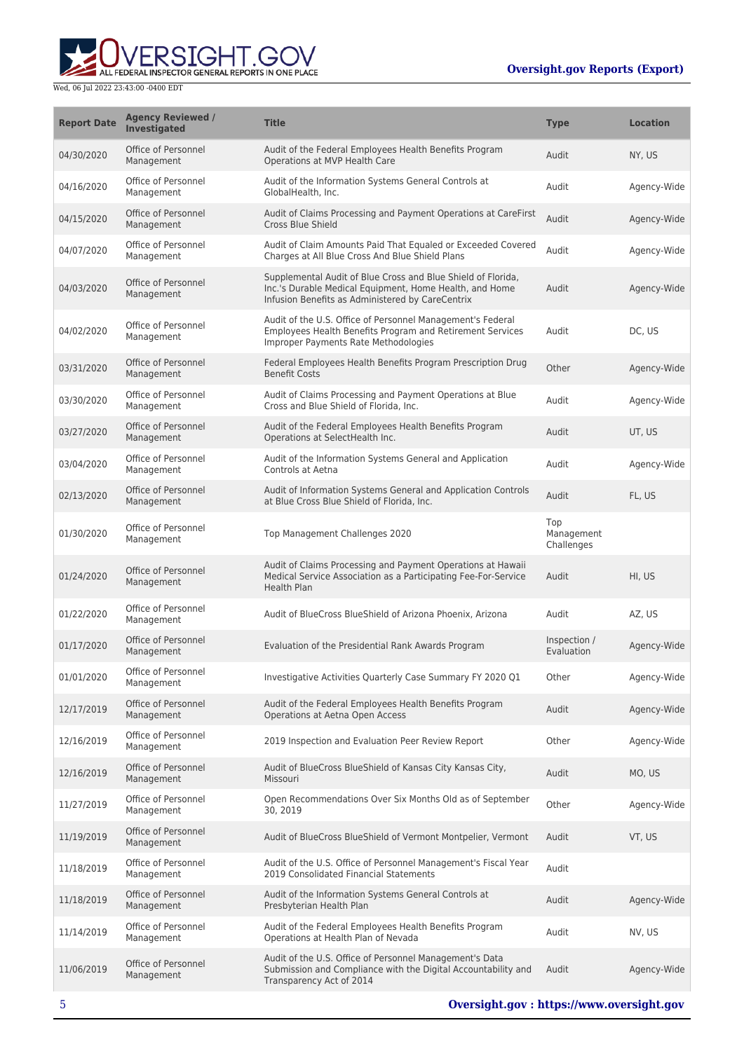

| <b>Report Date</b> | <b>Agency Reviewed /</b><br>Investigated | <b>Title</b>                                                                                                                                                                | <b>Type</b>                     | <b>Location</b> |
|--------------------|------------------------------------------|-----------------------------------------------------------------------------------------------------------------------------------------------------------------------------|---------------------------------|-----------------|
| 04/30/2020         | Office of Personnel<br>Management        | Audit of the Federal Employees Health Benefits Program<br>Operations at MVP Health Care                                                                                     | Audit                           | NY, US          |
| 04/16/2020         | Office of Personnel<br>Management        | Audit of the Information Systems General Controls at<br>GlobalHealth, Inc.                                                                                                  | Audit                           | Agency-Wide     |
| 04/15/2020         | Office of Personnel<br>Management        | Audit of Claims Processing and Payment Operations at CareFirst<br><b>Cross Blue Shield</b>                                                                                  | Audit                           | Agency-Wide     |
| 04/07/2020         | Office of Personnel<br>Management        | Audit of Claim Amounts Paid That Equaled or Exceeded Covered<br>Charges at All Blue Cross And Blue Shield Plans                                                             | Audit                           | Agency-Wide     |
| 04/03/2020         | Office of Personnel<br>Management        | Supplemental Audit of Blue Cross and Blue Shield of Florida,<br>Inc.'s Durable Medical Equipment, Home Health, and Home<br>Infusion Benefits as Administered by CareCentrix | Audit                           | Agency-Wide     |
| 04/02/2020         | Office of Personnel<br>Management        | Audit of the U.S. Office of Personnel Management's Federal<br>Employees Health Benefits Program and Retirement Services<br>Improper Payments Rate Methodologies             | Audit                           | DC, US          |
| 03/31/2020         | Office of Personnel<br>Management        | Federal Employees Health Benefits Program Prescription Drug<br><b>Benefit Costs</b>                                                                                         | Other                           | Agency-Wide     |
| 03/30/2020         | Office of Personnel<br>Management        | Audit of Claims Processing and Payment Operations at Blue<br>Cross and Blue Shield of Florida, Inc.                                                                         | Audit                           | Agency-Wide     |
| 03/27/2020         | Office of Personnel<br>Management        | Audit of the Federal Employees Health Benefits Program<br>Operations at SelectHealth Inc.                                                                                   | Audit                           | UT, US          |
| 03/04/2020         | Office of Personnel<br>Management        | Audit of the Information Systems General and Application<br>Controls at Aetna                                                                                               | Audit                           | Agency-Wide     |
| 02/13/2020         | Office of Personnel<br>Management        | Audit of Information Systems General and Application Controls<br>at Blue Cross Blue Shield of Florida, Inc.                                                                 | Audit                           | FL, US          |
| 01/30/2020         | Office of Personnel<br>Management        | Top Management Challenges 2020                                                                                                                                              | Top<br>Management<br>Challenges |                 |
| 01/24/2020         | Office of Personnel<br>Management        | Audit of Claims Processing and Payment Operations at Hawaii<br>Medical Service Association as a Participating Fee-For-Service<br>Health Plan                                | Audit                           | HI, US          |
| 01/22/2020         | Office of Personnel<br>Management        | Audit of BlueCross BlueShield of Arizona Phoenix, Arizona                                                                                                                   | Audit                           | AZ, US          |
| 01/17/2020         | Office of Personnel<br>Management        | Evaluation of the Presidential Rank Awards Program                                                                                                                          | Inspection /<br>Evaluation      | Agency-Wide     |
| 01/01/2020         | Office of Personnel<br>Management        | Investigative Activities Quarterly Case Summary FY 2020 Q1                                                                                                                  | Other                           | Agency-Wide     |
| 12/17/2019         | Office of Personnel<br>Management        | Audit of the Federal Employees Health Benefits Program<br>Operations at Aetna Open Access                                                                                   | Audit                           | Agency-Wide     |
| 12/16/2019         | Office of Personnel<br>Management        | 2019 Inspection and Evaluation Peer Review Report                                                                                                                           | Other                           | Agency-Wide     |
| 12/16/2019         | Office of Personnel<br>Management        | Audit of BlueCross BlueShield of Kansas City Kansas City,<br>Missouri                                                                                                       | Audit                           | MO, US          |
| 11/27/2019         | Office of Personnel<br>Management        | Open Recommendations Over Six Months Old as of September<br>30, 2019                                                                                                        | Other                           | Agency-Wide     |
| 11/19/2019         | Office of Personnel<br>Management        | Audit of BlueCross BlueShield of Vermont Montpelier, Vermont                                                                                                                | Audit                           | VT, US          |
| 11/18/2019         | Office of Personnel<br>Management        | Audit of the U.S. Office of Personnel Management's Fiscal Year<br>2019 Consolidated Financial Statements                                                                    | Audit                           |                 |
| 11/18/2019         | Office of Personnel<br>Management        | Audit of the Information Systems General Controls at<br>Presbyterian Health Plan                                                                                            | Audit                           | Agency-Wide     |
| 11/14/2019         | Office of Personnel<br>Management        | Audit of the Federal Employees Health Benefits Program<br>Operations at Health Plan of Nevada                                                                               | Audit                           | NV, US          |
| 11/06/2019         | Office of Personnel<br>Management        | Audit of the U.S. Office of Personnel Management's Data<br>Submission and Compliance with the Digital Accountability and<br>Transparency Act of 2014                        | Audit                           | Agency-Wide     |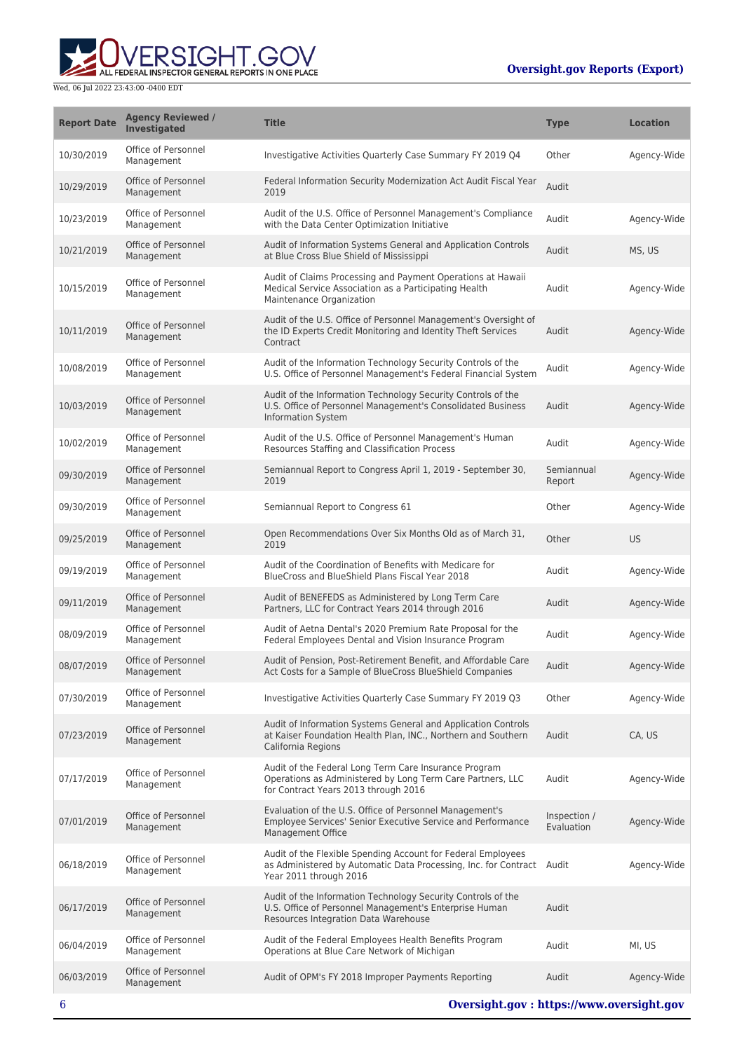

| <b>Report Date</b> | <b>Agency Reviewed /</b><br>Investigated | <b>Title</b>                                                                                                                                                    | <b>Type</b>                | <b>Location</b> |
|--------------------|------------------------------------------|-----------------------------------------------------------------------------------------------------------------------------------------------------------------|----------------------------|-----------------|
| 10/30/2019         | Office of Personnel<br>Management        | Investigative Activities Quarterly Case Summary FY 2019 Q4                                                                                                      | Other                      | Agency-Wide     |
| 10/29/2019         | Office of Personnel<br>Management        | Federal Information Security Modernization Act Audit Fiscal Year<br>2019                                                                                        | Audit                      |                 |
| 10/23/2019         | Office of Personnel<br>Management        | Audit of the U.S. Office of Personnel Management's Compliance<br>with the Data Center Optimization Initiative                                                   | Audit                      | Agency-Wide     |
| 10/21/2019         | Office of Personnel<br>Management        | Audit of Information Systems General and Application Controls<br>at Blue Cross Blue Shield of Mississippi                                                       | Audit                      | MS, US          |
| 10/15/2019         | Office of Personnel<br>Management        | Audit of Claims Processing and Payment Operations at Hawaii<br>Medical Service Association as a Participating Health<br>Maintenance Organization                | Audit                      | Agency-Wide     |
| 10/11/2019         | Office of Personnel<br>Management        | Audit of the U.S. Office of Personnel Management's Oversight of<br>the ID Experts Credit Monitoring and Identity Theft Services<br>Contract                     | Audit                      | Agency-Wide     |
| 10/08/2019         | Office of Personnel<br>Management        | Audit of the Information Technology Security Controls of the<br>U.S. Office of Personnel Management's Federal Financial System                                  | Audit                      | Agency-Wide     |
| 10/03/2019         | Office of Personnel<br>Management        | Audit of the Information Technology Security Controls of the<br>U.S. Office of Personnel Management's Consolidated Business<br><b>Information System</b>        | Audit                      | Agency-Wide     |
| 10/02/2019         | Office of Personnel<br>Management        | Audit of the U.S. Office of Personnel Management's Human<br>Resources Staffing and Classification Process                                                       | Audit                      | Agency-Wide     |
| 09/30/2019         | Office of Personnel<br>Management        | Semiannual Report to Congress April 1, 2019 - September 30,<br>2019                                                                                             | Semiannual<br>Report       | Agency-Wide     |
| 09/30/2019         | Office of Personnel<br>Management        | Semiannual Report to Congress 61                                                                                                                                | Other                      | Agency-Wide     |
| 09/25/2019         | Office of Personnel<br>Management        | Open Recommendations Over Six Months Old as of March 31,<br>2019                                                                                                | Other                      | <b>US</b>       |
| 09/19/2019         | Office of Personnel<br>Management        | Audit of the Coordination of Benefits with Medicare for<br>BlueCross and BlueShield Plans Fiscal Year 2018                                                      | Audit                      | Agency-Wide     |
| 09/11/2019         | Office of Personnel<br>Management        | Audit of BENEFEDS as Administered by Long Term Care<br>Partners, LLC for Contract Years 2014 through 2016                                                       | Audit                      | Agency-Wide     |
| 08/09/2019         | Office of Personnel<br>Management        | Audit of Aetna Dental's 2020 Premium Rate Proposal for the<br>Federal Employees Dental and Vision Insurance Program                                             | Audit                      | Agency-Wide     |
| 08/07/2019         | Office of Personnel<br>Management        | Audit of Pension, Post-Retirement Benefit, and Affordable Care<br>Act Costs for a Sample of BlueCross BlueShield Companies                                      | Audit                      | Agency-Wide     |
| 07/30/2019         | Office of Personnel<br>Management        | Investigative Activities Quarterly Case Summary FY 2019 Q3                                                                                                      | Other                      | Agency-Wide     |
| 07/23/2019         | Office of Personnel<br>Management        | Audit of Information Systems General and Application Controls<br>at Kaiser Foundation Health Plan, INC., Northern and Southern<br>California Regions            | Audit                      | CA, US          |
| 07/17/2019         | Office of Personnel<br>Management        | Audit of the Federal Long Term Care Insurance Program<br>Operations as Administered by Long Term Care Partners, LLC<br>for Contract Years 2013 through 2016     | Audit                      | Agency-Wide     |
| 07/01/2019         | Office of Personnel<br>Management        | Evaluation of the U.S. Office of Personnel Management's<br>Employee Services' Senior Executive Service and Performance<br>Management Office                     | Inspection /<br>Evaluation | Agency-Wide     |
| 06/18/2019         | Office of Personnel<br>Management        | Audit of the Flexible Spending Account for Federal Employees<br>as Administered by Automatic Data Processing, Inc. for Contract Audit<br>Year 2011 through 2016 |                            | Agency-Wide     |
| 06/17/2019         | Office of Personnel<br>Management        | Audit of the Information Technology Security Controls of the<br>U.S. Office of Personnel Management's Enterprise Human<br>Resources Integration Data Warehouse  | Audit                      |                 |
| 06/04/2019         | Office of Personnel<br>Management        | Audit of the Federal Employees Health Benefits Program<br>Operations at Blue Care Network of Michigan                                                           | Audit                      | MI, US          |
| 06/03/2019         | Office of Personnel<br>Management        | Audit of OPM's FY 2018 Improper Payments Reporting                                                                                                              | Audit                      | Agency-Wide     |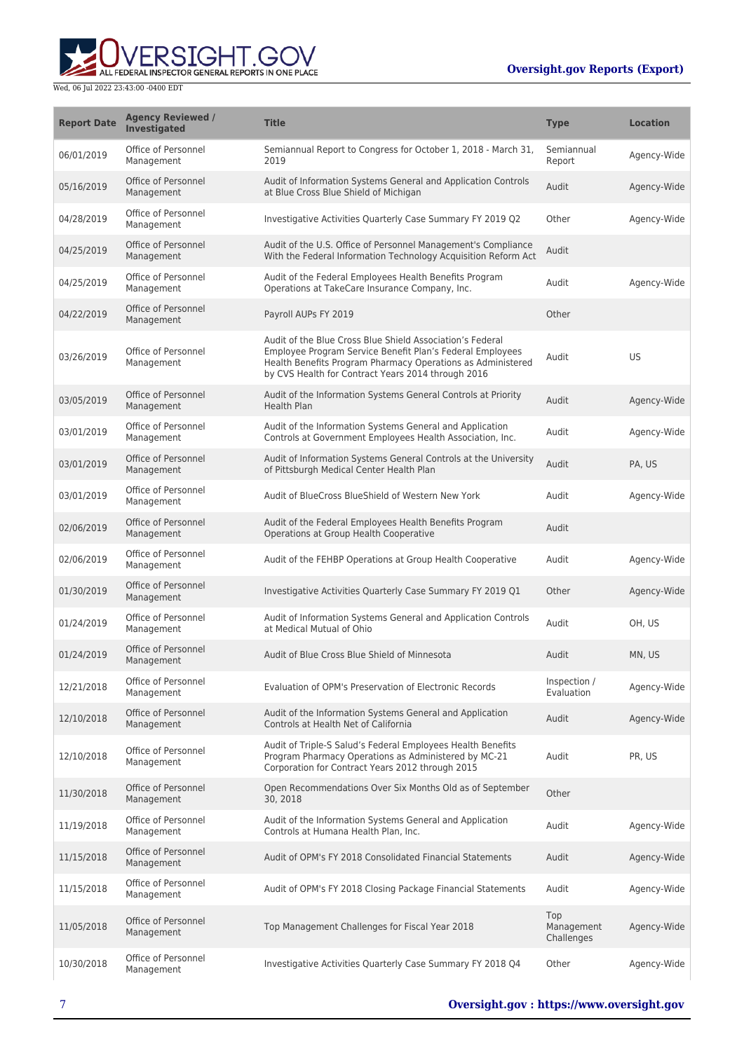

| <b>Report Date</b> | <b>Agency Reviewed /</b><br>Investigated | <b>Title</b>                                                                                                                                                                                                                                | <b>Type</b>                     | <b>Location</b> |
|--------------------|------------------------------------------|---------------------------------------------------------------------------------------------------------------------------------------------------------------------------------------------------------------------------------------------|---------------------------------|-----------------|
| 06/01/2019         | Office of Personnel<br>Management        | Semiannual Report to Congress for October 1, 2018 - March 31,<br>2019                                                                                                                                                                       | Semiannual<br>Report            | Agency-Wide     |
| 05/16/2019         | Office of Personnel<br>Management        | Audit of Information Systems General and Application Controls<br>at Blue Cross Blue Shield of Michigan                                                                                                                                      | Audit                           | Agency-Wide     |
| 04/28/2019         | Office of Personnel<br>Management        | Investigative Activities Quarterly Case Summary FY 2019 Q2                                                                                                                                                                                  | Other                           | Agency-Wide     |
| 04/25/2019         | Office of Personnel<br>Management        | Audit of the U.S. Office of Personnel Management's Compliance<br>With the Federal Information Technology Acquisition Reform Act                                                                                                             | Audit                           |                 |
| 04/25/2019         | Office of Personnel<br>Management        | Audit of the Federal Employees Health Benefits Program<br>Operations at TakeCare Insurance Company, Inc.                                                                                                                                    | Audit                           | Agency-Wide     |
| 04/22/2019         | Office of Personnel<br>Management        | Payroll AUPs FY 2019                                                                                                                                                                                                                        | Other                           |                 |
| 03/26/2019         | Office of Personnel<br>Management        | Audit of the Blue Cross Blue Shield Association's Federal<br>Employee Program Service Benefit Plan's Federal Employees<br>Health Benefits Program Pharmacy Operations as Administered<br>by CVS Health for Contract Years 2014 through 2016 | Audit                           | US              |
| 03/05/2019         | Office of Personnel<br>Management        | Audit of the Information Systems General Controls at Priority<br><b>Health Plan</b>                                                                                                                                                         | Audit                           | Agency-Wide     |
| 03/01/2019         | Office of Personnel<br>Management        | Audit of the Information Systems General and Application<br>Controls at Government Employees Health Association, Inc.                                                                                                                       | Audit                           | Agency-Wide     |
| 03/01/2019         | Office of Personnel<br>Management        | Audit of Information Systems General Controls at the University<br>of Pittsburgh Medical Center Health Plan                                                                                                                                 | Audit                           | PA, US          |
| 03/01/2019         | Office of Personnel<br>Management        | Audit of BlueCross BlueShield of Western New York                                                                                                                                                                                           | Audit                           | Agency-Wide     |
| 02/06/2019         | Office of Personnel<br>Management        | Audit of the Federal Employees Health Benefits Program<br>Operations at Group Health Cooperative                                                                                                                                            | Audit                           |                 |
| 02/06/2019         | Office of Personnel<br>Management        | Audit of the FEHBP Operations at Group Health Cooperative                                                                                                                                                                                   | Audit                           | Agency-Wide     |
| 01/30/2019         | Office of Personnel<br>Management        | Investigative Activities Quarterly Case Summary FY 2019 Q1                                                                                                                                                                                  | Other                           | Agency-Wide     |
| 01/24/2019         | Office of Personnel<br>Management        | Audit of Information Systems General and Application Controls<br>at Medical Mutual of Ohio                                                                                                                                                  | Audit                           | OH. US          |
| 01/24/2019         | Office of Personnel<br>Management        | Audit of Blue Cross Blue Shield of Minnesota                                                                                                                                                                                                | Audit                           | MN, US          |
| 12/21/2018         | Office of Personnel<br>Management        | Evaluation of OPM's Preservation of Electronic Records                                                                                                                                                                                      | Inspection /<br>Evaluation      | Agency-Wide     |
| 12/10/2018         | Office of Personnel<br>Management        | Audit of the Information Systems General and Application<br>Controls at Health Net of California                                                                                                                                            | Audit                           | Agency-Wide     |
| 12/10/2018         | Office of Personnel<br>Management        | Audit of Triple-S Salud's Federal Employees Health Benefits<br>Program Pharmacy Operations as Administered by MC-21<br>Corporation for Contract Years 2012 through 2015                                                                     | Audit                           | PR, US          |
| 11/30/2018         | Office of Personnel<br>Management        | Open Recommendations Over Six Months Old as of September<br>30, 2018                                                                                                                                                                        | Other                           |                 |
| 11/19/2018         | Office of Personnel<br>Management        | Audit of the Information Systems General and Application<br>Controls at Humana Health Plan, Inc.                                                                                                                                            | Audit                           | Agency-Wide     |
| 11/15/2018         | Office of Personnel<br>Management        | Audit of OPM's FY 2018 Consolidated Financial Statements                                                                                                                                                                                    | Audit                           | Agency-Wide     |
| 11/15/2018         | Office of Personnel<br>Management        | Audit of OPM's FY 2018 Closing Package Financial Statements                                                                                                                                                                                 | Audit                           | Agency-Wide     |
| 11/05/2018         | Office of Personnel<br>Management        | Top Management Challenges for Fiscal Year 2018                                                                                                                                                                                              | Top<br>Management<br>Challenges | Agency-Wide     |
| 10/30/2018         | Office of Personnel<br>Management        | Investigative Activities Quarterly Case Summary FY 2018 Q4                                                                                                                                                                                  | Other                           | Agency-Wide     |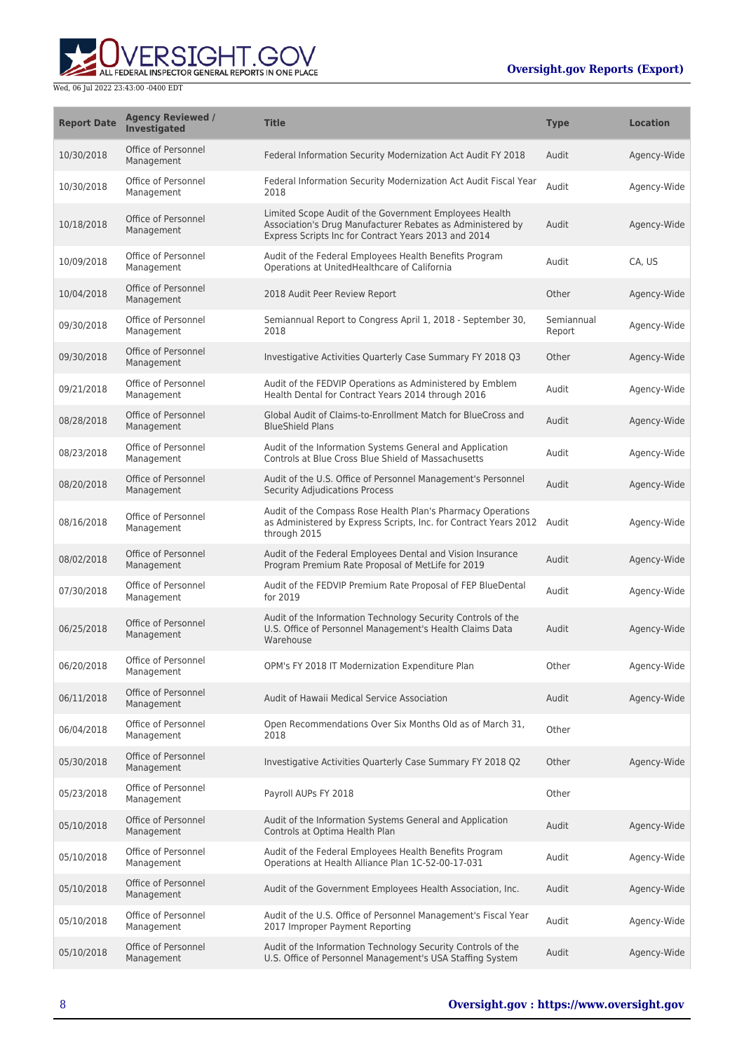

| <b>Report Date</b> | <b>Agency Reviewed /</b><br>Investigated | <b>Title</b>                                                                                                                                                                 | <b>Type</b>          | <b>Location</b> |
|--------------------|------------------------------------------|------------------------------------------------------------------------------------------------------------------------------------------------------------------------------|----------------------|-----------------|
| 10/30/2018         | Office of Personnel<br>Management        | Federal Information Security Modernization Act Audit FY 2018                                                                                                                 | Audit                | Agency-Wide     |
| 10/30/2018         | Office of Personnel<br>Management        | Federal Information Security Modernization Act Audit Fiscal Year<br>2018                                                                                                     | Audit                | Agency-Wide     |
| 10/18/2018         | Office of Personnel<br>Management        | Limited Scope Audit of the Government Employees Health<br>Association's Drug Manufacturer Rebates as Administered by<br>Express Scripts Inc for Contract Years 2013 and 2014 | Audit                | Agency-Wide     |
| 10/09/2018         | Office of Personnel<br>Management        | Audit of the Federal Employees Health Benefits Program<br>Operations at UnitedHealthcare of California                                                                       | Audit                | CA, US          |
| 10/04/2018         | Office of Personnel<br>Management        | 2018 Audit Peer Review Report                                                                                                                                                | Other                | Agency-Wide     |
| 09/30/2018         | Office of Personnel<br>Management        | Semiannual Report to Congress April 1, 2018 - September 30,<br>2018                                                                                                          | Semiannual<br>Report | Agency-Wide     |
| 09/30/2018         | Office of Personnel<br>Management        | Investigative Activities Quarterly Case Summary FY 2018 Q3                                                                                                                   | Other                | Agency-Wide     |
| 09/21/2018         | Office of Personnel<br>Management        | Audit of the FEDVIP Operations as Administered by Emblem<br>Health Dental for Contract Years 2014 through 2016                                                               | Audit                | Agency-Wide     |
| 08/28/2018         | Office of Personnel<br>Management        | Global Audit of Claims-to-Enrollment Match for BlueCross and<br><b>BlueShield Plans</b>                                                                                      | Audit                | Agency-Wide     |
| 08/23/2018         | Office of Personnel<br>Management        | Audit of the Information Systems General and Application<br>Controls at Blue Cross Blue Shield of Massachusetts                                                              | Audit                | Agency-Wide     |
| 08/20/2018         | Office of Personnel<br>Management        | Audit of the U.S. Office of Personnel Management's Personnel<br><b>Security Adjudications Process</b>                                                                        | Audit                | Agency-Wide     |
| 08/16/2018         | Office of Personnel<br>Management        | Audit of the Compass Rose Health Plan's Pharmacy Operations<br>as Administered by Express Scripts, Inc. for Contract Years 2012 Audit<br>through 2015                        |                      | Agency-Wide     |
| 08/02/2018         | Office of Personnel<br>Management        | Audit of the Federal Employees Dental and Vision Insurance<br>Program Premium Rate Proposal of MetLife for 2019                                                              | Audit                | Agency-Wide     |
| 07/30/2018         | Office of Personnel<br>Management        | Audit of the FEDVIP Premium Rate Proposal of FEP BlueDental<br>for 2019                                                                                                      | Audit                | Agency-Wide     |
| 06/25/2018         | Office of Personnel<br>Management        | Audit of the Information Technology Security Controls of the<br>U.S. Office of Personnel Management's Health Claims Data<br>Warehouse                                        | Audit                | Agency-Wide     |
| 06/20/2018         | Office of Personnel<br>Management        | OPM's FY 2018 IT Modernization Expenditure Plan                                                                                                                              | Other                | Agency-Wide     |
| 06/11/2018         | Office of Personnel<br>Management        | Audit of Hawaii Medical Service Association                                                                                                                                  | Audit                | Agency-Wide     |
| 06/04/2018         | Office of Personnel<br>Management        | Open Recommendations Over Six Months Old as of March 31,<br>2018                                                                                                             | Other                |                 |
| 05/30/2018         | Office of Personnel<br>Management        | Investigative Activities Quarterly Case Summary FY 2018 Q2                                                                                                                   | Other                | Agency-Wide     |
| 05/23/2018         | Office of Personnel<br>Management        | Payroll AUPs FY 2018                                                                                                                                                         | Other                |                 |
| 05/10/2018         | Office of Personnel<br>Management        | Audit of the Information Systems General and Application<br>Controls at Optima Health Plan                                                                                   | Audit                | Agency-Wide     |
| 05/10/2018         | Office of Personnel<br>Management        | Audit of the Federal Employees Health Benefits Program<br>Operations at Health Alliance Plan 1C-52-00-17-031                                                                 | Audit                | Agency-Wide     |
| 05/10/2018         | Office of Personnel<br>Management        | Audit of the Government Employees Health Association, Inc.                                                                                                                   | Audit                | Agency-Wide     |
| 05/10/2018         | Office of Personnel<br>Management        | Audit of the U.S. Office of Personnel Management's Fiscal Year<br>2017 Improper Payment Reporting                                                                            | Audit                | Agency-Wide     |
| 05/10/2018         | Office of Personnel<br>Management        | Audit of the Information Technology Security Controls of the<br>U.S. Office of Personnel Management's USA Staffing System                                                    | Audit                | Agency-Wide     |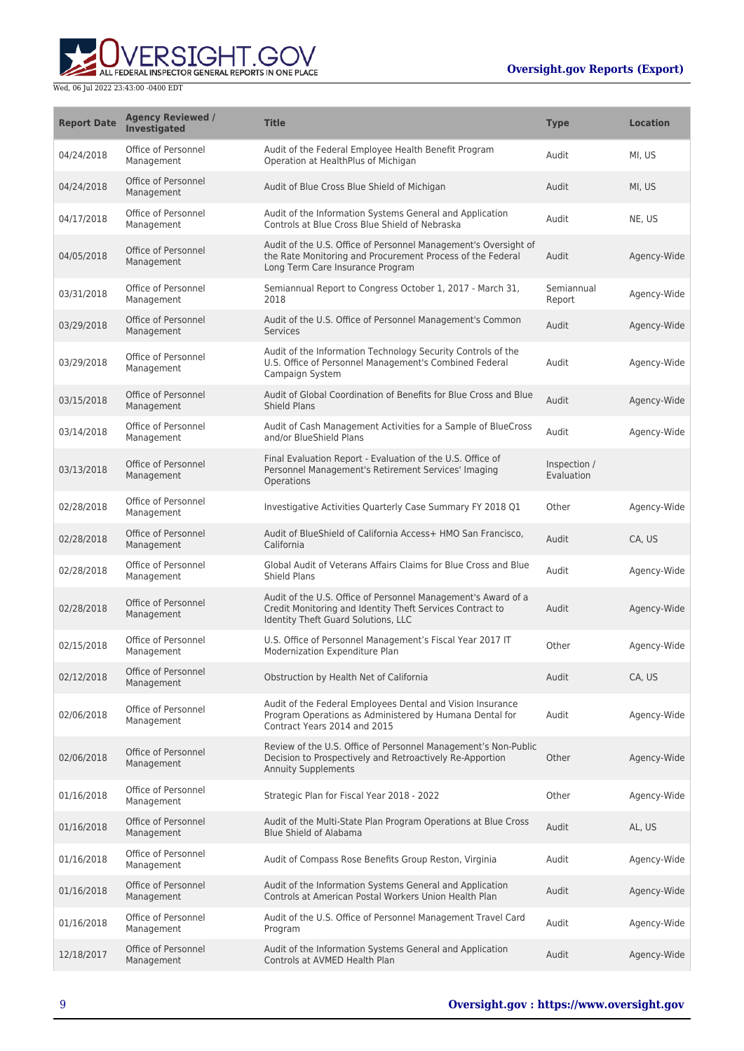

| <b>Report Date</b> | <b>Agency Reviewed /</b><br>Investigated | <b>Title</b>                                                                                                                                                      | <b>Type</b>                | <b>Location</b> |
|--------------------|------------------------------------------|-------------------------------------------------------------------------------------------------------------------------------------------------------------------|----------------------------|-----------------|
| 04/24/2018         | Office of Personnel<br>Management        | Audit of the Federal Employee Health Benefit Program<br>Operation at HealthPlus of Michigan                                                                       | Audit                      | MI, US          |
| 04/24/2018         | Office of Personnel<br>Management        | Audit of Blue Cross Blue Shield of Michigan                                                                                                                       | Audit                      | MI, US          |
| 04/17/2018         | Office of Personnel<br>Management        | Audit of the Information Systems General and Application<br>Controls at Blue Cross Blue Shield of Nebraska                                                        | Audit                      | NE, US          |
| 04/05/2018         | Office of Personnel<br>Management        | Audit of the U.S. Office of Personnel Management's Oversight of<br>the Rate Monitoring and Procurement Process of the Federal<br>Long Term Care Insurance Program | Audit                      | Agency-Wide     |
| 03/31/2018         | Office of Personnel<br>Management        | Semiannual Report to Congress October 1, 2017 - March 31,<br>2018                                                                                                 | Semiannual<br>Report       | Agency-Wide     |
| 03/29/2018         | Office of Personnel<br>Management        | Audit of the U.S. Office of Personnel Management's Common<br><b>Services</b>                                                                                      | Audit                      | Agency-Wide     |
| 03/29/2018         | Office of Personnel<br>Management        | Audit of the Information Technology Security Controls of the<br>U.S. Office of Personnel Management's Combined Federal<br>Campaign System                         | Audit                      | Agency-Wide     |
| 03/15/2018         | Office of Personnel<br>Management        | Audit of Global Coordination of Benefits for Blue Cross and Blue<br><b>Shield Plans</b>                                                                           | Audit                      | Agency-Wide     |
| 03/14/2018         | Office of Personnel<br>Management        | Audit of Cash Management Activities for a Sample of BlueCross<br>and/or BlueShield Plans                                                                          | Audit                      | Agency-Wide     |
| 03/13/2018         | Office of Personnel<br>Management        | Final Evaluation Report - Evaluation of the U.S. Office of<br>Personnel Management's Retirement Services' Imaging<br>Operations                                   | Inspection /<br>Evaluation |                 |
| 02/28/2018         | Office of Personnel<br>Management        | Investigative Activities Quarterly Case Summary FY 2018 Q1                                                                                                        | Other                      | Agency-Wide     |
| 02/28/2018         | Office of Personnel<br>Management        | Audit of BlueShield of California Access+ HMO San Francisco,<br>California                                                                                        | Audit                      | CA, US          |
| 02/28/2018         | Office of Personnel<br>Management        | Global Audit of Veterans Affairs Claims for Blue Cross and Blue<br>Shield Plans                                                                                   | Audit                      | Agency-Wide     |
| 02/28/2018         | Office of Personnel<br>Management        | Audit of the U.S. Office of Personnel Management's Award of a<br>Credit Monitoring and Identity Theft Services Contract to<br>Identity Theft Guard Solutions, LLC | Audit                      | Agency-Wide     |
| 02/15/2018         | Office of Personnel<br>Management        | U.S. Office of Personnel Management's Fiscal Year 2017 IT<br>Modernization Expenditure Plan                                                                       | Other                      | Agency-Wide     |
| 02/12/2018         | Office of Personnel<br>Management        | Obstruction by Health Net of California                                                                                                                           | Audit                      | CA, US          |
| 02/06/2018         | Office of Personnel<br>Management        | Audit of the Federal Employees Dental and Vision Insurance<br>Program Operations as Administered by Humana Dental for<br>Contract Years 2014 and 2015             | Audit                      | Agency-Wide     |
| 02/06/2018         | Office of Personnel<br>Management        | Review of the U.S. Office of Personnel Management's Non-Public<br>Decision to Prospectively and Retroactively Re-Apportion<br><b>Annuity Supplements</b>          | Other                      | Agency-Wide     |
| 01/16/2018         | Office of Personnel<br>Management        | Strategic Plan for Fiscal Year 2018 - 2022                                                                                                                        | Other                      | Agency-Wide     |
| 01/16/2018         | Office of Personnel<br>Management        | Audit of the Multi-State Plan Program Operations at Blue Cross<br><b>Blue Shield of Alabama</b>                                                                   | Audit                      | AL, US          |
| 01/16/2018         | Office of Personnel<br>Management        | Audit of Compass Rose Benefits Group Reston, Virginia                                                                                                             | Audit                      | Agency-Wide     |
| 01/16/2018         | Office of Personnel<br>Management        | Audit of the Information Systems General and Application<br>Controls at American Postal Workers Union Health Plan                                                 | Audit                      | Agency-Wide     |
| 01/16/2018         | Office of Personnel<br>Management        | Audit of the U.S. Office of Personnel Management Travel Card<br>Program                                                                                           | Audit                      | Agency-Wide     |
| 12/18/2017         | Office of Personnel<br>Management        | Audit of the Information Systems General and Application<br>Controls at AVMED Health Plan                                                                         | Audit                      | Agency-Wide     |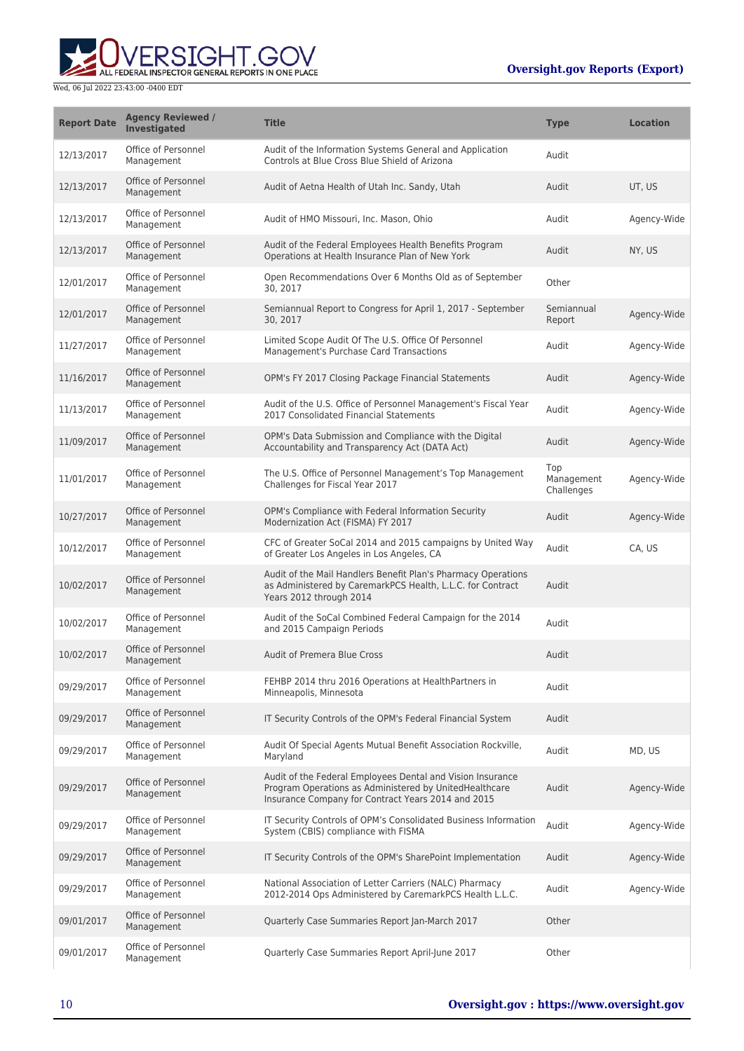

| <b>Report Date</b> | <b>Agency Reviewed /</b><br><b>Investigated</b> | <b>Title</b>                                                                                                                                                               | <b>Type</b>                     | <b>Location</b> |
|--------------------|-------------------------------------------------|----------------------------------------------------------------------------------------------------------------------------------------------------------------------------|---------------------------------|-----------------|
| 12/13/2017         | Office of Personnel<br>Management               | Audit of the Information Systems General and Application<br>Controls at Blue Cross Blue Shield of Arizona                                                                  | Audit                           |                 |
| 12/13/2017         | Office of Personnel<br>Management               | Audit of Aetna Health of Utah Inc. Sandy, Utah                                                                                                                             | Audit                           | UT, US          |
| 12/13/2017         | Office of Personnel<br>Management               | Audit of HMO Missouri, Inc. Mason, Ohio                                                                                                                                    | Audit                           | Agency-Wide     |
| 12/13/2017         | Office of Personnel<br>Management               | Audit of the Federal Employees Health Benefits Program<br>Operations at Health Insurance Plan of New York                                                                  | Audit                           | NY, US          |
| 12/01/2017         | Office of Personnel<br>Management               | Open Recommendations Over 6 Months Old as of September<br>30, 2017                                                                                                         | Other                           |                 |
| 12/01/2017         | Office of Personnel<br>Management               | Semiannual Report to Congress for April 1, 2017 - September<br>30, 2017                                                                                                    | Semiannual<br>Report            | Agency-Wide     |
| 11/27/2017         | Office of Personnel<br>Management               | Limited Scope Audit Of The U.S. Office Of Personnel<br>Management's Purchase Card Transactions                                                                             | Audit                           | Agency-Wide     |
| 11/16/2017         | Office of Personnel<br>Management               | OPM's FY 2017 Closing Package Financial Statements                                                                                                                         | Audit                           | Agency-Wide     |
| 11/13/2017         | Office of Personnel<br>Management               | Audit of the U.S. Office of Personnel Management's Fiscal Year<br>2017 Consolidated Financial Statements                                                                   | Audit                           | Agency-Wide     |
| 11/09/2017         | Office of Personnel<br>Management               | OPM's Data Submission and Compliance with the Digital<br>Accountability and Transparency Act (DATA Act)                                                                    | Audit                           | Agency-Wide     |
| 11/01/2017         | Office of Personnel<br>Management               | The U.S. Office of Personnel Management's Top Management<br>Challenges for Fiscal Year 2017                                                                                | Top<br>Management<br>Challenges | Agency-Wide     |
| 10/27/2017         | Office of Personnel<br>Management               | OPM's Compliance with Federal Information Security<br>Modernization Act (FISMA) FY 2017                                                                                    | Audit                           | Agency-Wide     |
| 10/12/2017         | Office of Personnel<br>Management               | CFC of Greater SoCal 2014 and 2015 campaigns by United Way<br>of Greater Los Angeles in Los Angeles, CA                                                                    | Audit                           | CA, US          |
| 10/02/2017         | Office of Personnel<br>Management               | Audit of the Mail Handlers Benefit Plan's Pharmacy Operations<br>as Administered by CaremarkPCS Health, L.L.C. for Contract<br>Years 2012 through 2014                     | Audit                           |                 |
| 10/02/2017         | Office of Personnel<br>Management               | Audit of the SoCal Combined Federal Campaign for the 2014<br>and 2015 Campaign Periods                                                                                     | Audit                           |                 |
| 10/02/2017         | Office of Personnel<br>Management               | Audit of Premera Blue Cross                                                                                                                                                | Audit                           |                 |
| 09/29/2017         | Office of Personnel<br>Management               | FEHBP 2014 thru 2016 Operations at HealthPartners in<br>Minneapolis, Minnesota                                                                                             | Audit                           |                 |
| 09/29/2017         | Office of Personnel<br>Management               | IT Security Controls of the OPM's Federal Financial System                                                                                                                 | Audit                           |                 |
| 09/29/2017         | Office of Personnel<br>Management               | Audit Of Special Agents Mutual Benefit Association Rockville,<br>Maryland                                                                                                  | Audit                           | MD, US          |
| 09/29/2017         | Office of Personnel<br>Management               | Audit of the Federal Employees Dental and Vision Insurance<br>Program Operations as Administered by UnitedHealthcare<br>Insurance Company for Contract Years 2014 and 2015 | Audit                           | Agency-Wide     |
| 09/29/2017         | Office of Personnel<br>Management               | IT Security Controls of OPM's Consolidated Business Information<br>System (CBIS) compliance with FISMA                                                                     | Audit                           | Agency-Wide     |
| 09/29/2017         | Office of Personnel<br>Management               | IT Security Controls of the OPM's SharePoint Implementation                                                                                                                | Audit                           | Agency-Wide     |
| 09/29/2017         | Office of Personnel<br>Management               | National Association of Letter Carriers (NALC) Pharmacy<br>2012-2014 Ops Administered by CaremarkPCS Health L.L.C.                                                         | Audit                           | Agency-Wide     |
| 09/01/2017         | Office of Personnel<br>Management               | Quarterly Case Summaries Report Jan-March 2017                                                                                                                             | Other                           |                 |
| 09/01/2017         | Office of Personnel<br>Management               | Quarterly Case Summaries Report April-June 2017                                                                                                                            | Other                           |                 |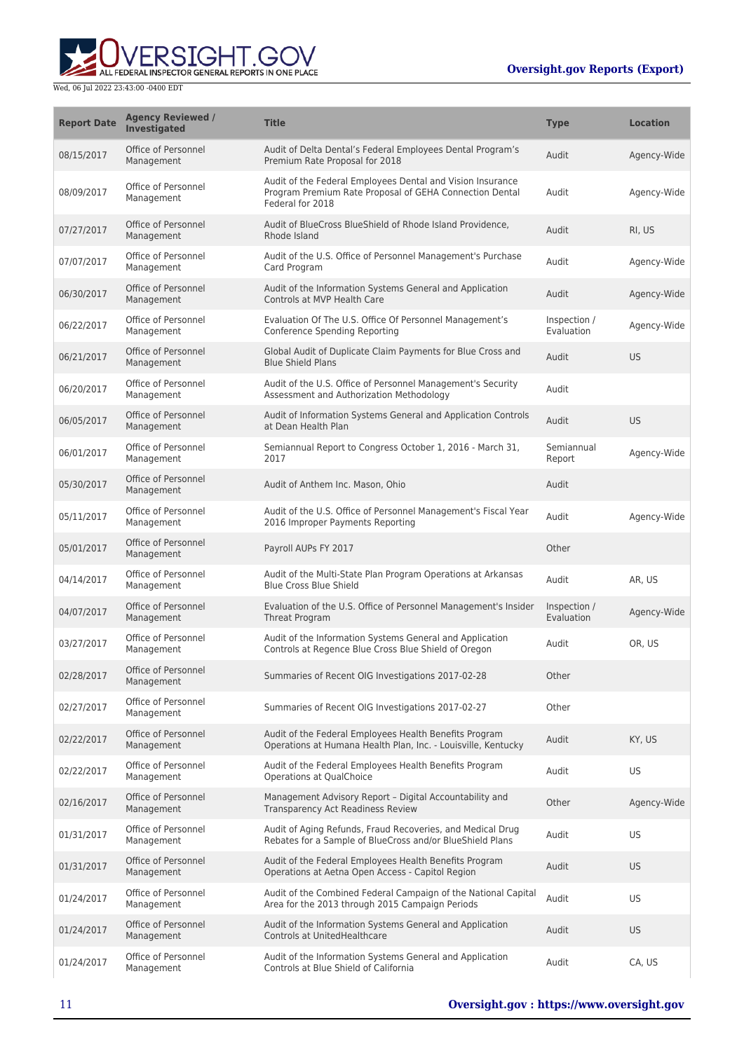

| <b>Report Date</b> | <b>Agency Reviewed /</b><br><b>Investigated</b> | <b>Title</b>                                                                                                                              | <b>Type</b>                | <b>Location</b> |
|--------------------|-------------------------------------------------|-------------------------------------------------------------------------------------------------------------------------------------------|----------------------------|-----------------|
| 08/15/2017         | Office of Personnel<br>Management               | Audit of Delta Dental's Federal Employees Dental Program's<br>Premium Rate Proposal for 2018                                              | Audit                      | Agency-Wide     |
| 08/09/2017         | Office of Personnel<br>Management               | Audit of the Federal Employees Dental and Vision Insurance<br>Program Premium Rate Proposal of GEHA Connection Dental<br>Federal for 2018 | Audit                      | Agency-Wide     |
| 07/27/2017         | Office of Personnel<br>Management               | Audit of BlueCross BlueShield of Rhode Island Providence,<br>Rhode Island                                                                 | Audit                      | RI, US          |
| 07/07/2017         | Office of Personnel<br>Management               | Audit of the U.S. Office of Personnel Management's Purchase<br>Card Program                                                               | Audit                      | Agency-Wide     |
| 06/30/2017         | Office of Personnel<br>Management               | Audit of the Information Systems General and Application<br>Controls at MVP Health Care                                                   | Audit                      | Agency-Wide     |
| 06/22/2017         | Office of Personnel<br>Management               | Evaluation Of The U.S. Office Of Personnel Management's<br>Conference Spending Reporting                                                  | Inspection /<br>Evaluation | Agency-Wide     |
| 06/21/2017         | Office of Personnel<br>Management               | Global Audit of Duplicate Claim Payments for Blue Cross and<br><b>Blue Shield Plans</b>                                                   | Audit                      | <b>US</b>       |
| 06/20/2017         | Office of Personnel<br>Management               | Audit of the U.S. Office of Personnel Management's Security<br>Assessment and Authorization Methodology                                   | Audit                      |                 |
| 06/05/2017         | Office of Personnel<br>Management               | Audit of Information Systems General and Application Controls<br>at Dean Health Plan                                                      | Audit                      | US              |
| 06/01/2017         | Office of Personnel<br>Management               | Semiannual Report to Congress October 1, 2016 - March 31,<br>2017                                                                         | Semiannual<br>Report       | Agency-Wide     |
| 05/30/2017         | Office of Personnel<br>Management               | Audit of Anthem Inc. Mason, Ohio                                                                                                          | Audit                      |                 |
| 05/11/2017         | Office of Personnel<br>Management               | Audit of the U.S. Office of Personnel Management's Fiscal Year<br>2016 Improper Payments Reporting                                        | Audit                      | Agency-Wide     |
| 05/01/2017         | Office of Personnel<br>Management               | Payroll AUPs FY 2017                                                                                                                      | Other                      |                 |
| 04/14/2017         | Office of Personnel<br>Management               | Audit of the Multi-State Plan Program Operations at Arkansas<br><b>Blue Cross Blue Shield</b>                                             | Audit                      | AR, US          |
| 04/07/2017         | Office of Personnel<br>Management               | Evaluation of the U.S. Office of Personnel Management's Insider<br>Threat Program                                                         | Inspection /<br>Evaluation | Agency-Wide     |
| 03/27/2017         | Office of Personnel<br>Management               | Audit of the Information Systems General and Application<br>Controls at Regence Blue Cross Blue Shield of Oregon                          | Audit                      | OR, US          |
| 02/28/2017         | Office of Personnel<br>Management               | Summaries of Recent OIG Investigations 2017-02-28                                                                                         | Other                      |                 |
| 02/27/2017         | Office of Personnel<br>Management               | Summaries of Recent OIG Investigations 2017-02-27                                                                                         | Other                      |                 |
| 02/22/2017         | Office of Personnel<br>Management               | Audit of the Federal Employees Health Benefits Program<br>Operations at Humana Health Plan, Inc. - Louisville, Kentucky                   | Audit                      | KY, US          |
| 02/22/2017         | Office of Personnel<br>Management               | Audit of the Federal Employees Health Benefits Program<br>Operations at QualChoice                                                        | Audit                      | US              |
| 02/16/2017         | Office of Personnel<br>Management               | Management Advisory Report - Digital Accountability and<br><b>Transparency Act Readiness Review</b>                                       | Other                      | Agency-Wide     |
| 01/31/2017         | Office of Personnel<br>Management               | Audit of Aging Refunds, Fraud Recoveries, and Medical Drug<br>Rebates for a Sample of BlueCross and/or BlueShield Plans                   | Audit                      | US              |
| 01/31/2017         | Office of Personnel<br>Management               | Audit of the Federal Employees Health Benefits Program<br>Operations at Aetna Open Access - Capitol Region                                | Audit                      | <b>US</b>       |
| 01/24/2017         | Office of Personnel<br>Management               | Audit of the Combined Federal Campaign of the National Capital<br>Area for the 2013 through 2015 Campaign Periods                         | Audit                      | <b>US</b>       |
| 01/24/2017         | Office of Personnel<br>Management               | Audit of the Information Systems General and Application<br>Controls at UnitedHealthcare                                                  | Audit                      | <b>US</b>       |
| 01/24/2017         | Office of Personnel<br>Management               | Audit of the Information Systems General and Application<br>Controls at Blue Shield of California                                         | Audit                      | CA, US          |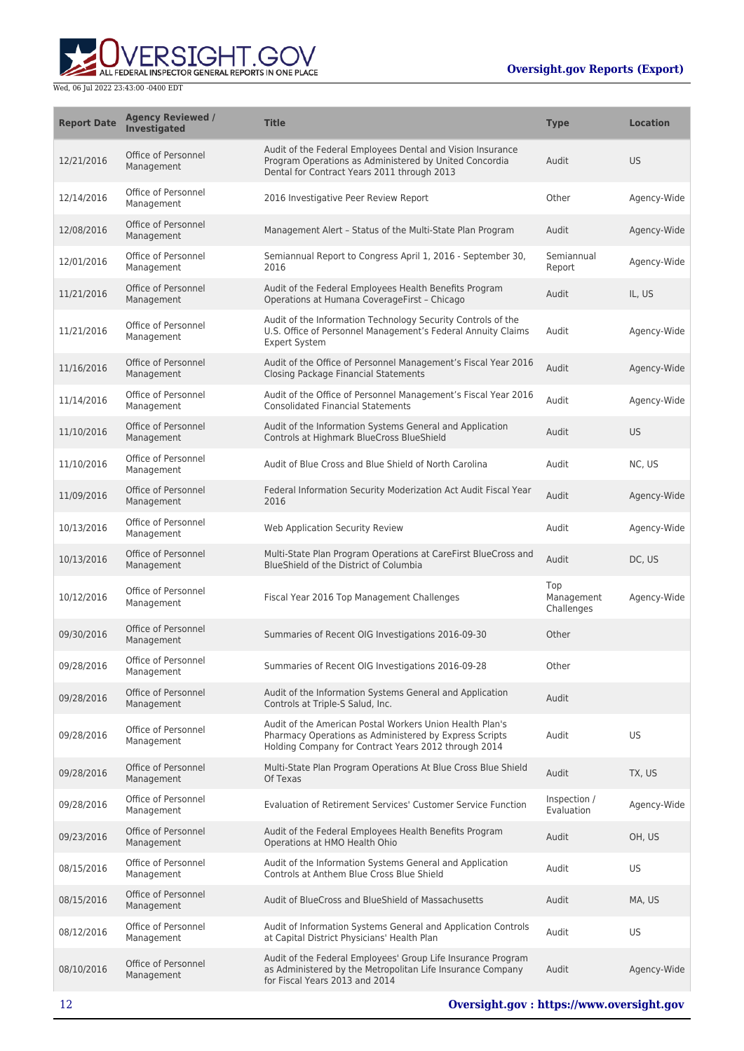

| <b>Report Date</b> | <b>Agency Reviewed /</b><br><b>Investigated</b> | <b>Title</b>                                                                                                                                                               | <b>Type</b>                     | <b>Location</b> |
|--------------------|-------------------------------------------------|----------------------------------------------------------------------------------------------------------------------------------------------------------------------------|---------------------------------|-----------------|
| 12/21/2016         | Office of Personnel<br>Management               | Audit of the Federal Employees Dental and Vision Insurance<br>Program Operations as Administered by United Concordia<br>Dental for Contract Years 2011 through 2013        | Audit                           | <b>US</b>       |
| 12/14/2016         | Office of Personnel<br>Management               | 2016 Investigative Peer Review Report                                                                                                                                      | Other                           | Agency-Wide     |
| 12/08/2016         | Office of Personnel<br>Management               | Management Alert - Status of the Multi-State Plan Program                                                                                                                  | Audit                           | Agency-Wide     |
| 12/01/2016         | Office of Personnel<br>Management               | Semiannual Report to Congress April 1, 2016 - September 30,<br>2016                                                                                                        | Semiannual<br>Report            | Agency-Wide     |
| 11/21/2016         | Office of Personnel<br>Management               | Audit of the Federal Employees Health Benefits Program<br>Operations at Humana CoverageFirst - Chicago                                                                     | Audit                           | IL, US          |
| 11/21/2016         | Office of Personnel<br>Management               | Audit of the Information Technology Security Controls of the<br>U.S. Office of Personnel Management's Federal Annuity Claims<br><b>Expert System</b>                       | Audit                           | Agency-Wide     |
| 11/16/2016         | Office of Personnel<br>Management               | Audit of the Office of Personnel Management's Fiscal Year 2016<br><b>Closing Package Financial Statements</b>                                                              | Audit                           | Agency-Wide     |
| 11/14/2016         | Office of Personnel<br>Management               | Audit of the Office of Personnel Management's Fiscal Year 2016<br><b>Consolidated Financial Statements</b>                                                                 | Audit                           | Agency-Wide     |
| 11/10/2016         | Office of Personnel<br>Management               | Audit of the Information Systems General and Application<br>Controls at Highmark BlueCross BlueShield                                                                      | Audit                           | <b>US</b>       |
| 11/10/2016         | Office of Personnel<br>Management               | Audit of Blue Cross and Blue Shield of North Carolina                                                                                                                      | Audit                           | NC, US          |
| 11/09/2016         | Office of Personnel<br>Management               | Federal Information Security Moderization Act Audit Fiscal Year<br>2016                                                                                                    | Audit                           | Agency-Wide     |
| 10/13/2016         | Office of Personnel<br>Management               | Web Application Security Review                                                                                                                                            | Audit                           | Agency-Wide     |
| 10/13/2016         | Office of Personnel<br>Management               | Multi-State Plan Program Operations at CareFirst BlueCross and<br>BlueShield of the District of Columbia                                                                   | Audit                           | DC, US          |
| 10/12/2016         | Office of Personnel<br>Management               | Fiscal Year 2016 Top Management Challenges                                                                                                                                 | Top<br>Management<br>Challenges | Agency-Wide     |
| 09/30/2016         | Office of Personnel<br>Management               | Summaries of Recent OIG Investigations 2016-09-30                                                                                                                          | Other                           |                 |
| 09/28/2016         | Office of Personnel<br>Management               | Summaries of Recent OIG Investigations 2016-09-28                                                                                                                          | Other                           |                 |
| 09/28/2016         | Office of Personnel<br>Management               | Audit of the Information Systems General and Application<br>Controls at Triple-S Salud, Inc.                                                                               | Audit                           |                 |
| 09/28/2016         | Office of Personnel<br>Management               | Audit of the American Postal Workers Union Health Plan's<br>Pharmacy Operations as Administered by Express Scripts<br>Holding Company for Contract Years 2012 through 2014 | Audit                           | US              |
| 09/28/2016         | Office of Personnel<br>Management               | Multi-State Plan Program Operations At Blue Cross Blue Shield<br>Of Texas                                                                                                  | Audit                           | TX, US          |
| 09/28/2016         | Office of Personnel<br>Management               | Evaluation of Retirement Services' Customer Service Function                                                                                                               | Inspection /<br>Evaluation      | Agency-Wide     |
| 09/23/2016         | Office of Personnel<br>Management               | Audit of the Federal Employees Health Benefits Program<br>Operations at HMO Health Ohio                                                                                    | Audit                           | OH, US          |
| 08/15/2016         | Office of Personnel<br>Management               | Audit of the Information Systems General and Application<br>Controls at Anthem Blue Cross Blue Shield                                                                      | Audit                           | US              |
| 08/15/2016         | Office of Personnel<br>Management               | Audit of BlueCross and BlueShield of Massachusetts                                                                                                                         | Audit                           | MA, US          |
| 08/12/2016         | Office of Personnel<br>Management               | Audit of Information Systems General and Application Controls<br>at Capital District Physicians' Health Plan                                                               | Audit                           | US              |
| 08/10/2016         | Office of Personnel<br>Management               | Audit of the Federal Employees' Group Life Insurance Program<br>as Administered by the Metropolitan Life Insurance Company<br>for Fiscal Years 2013 and 2014               | Audit                           | Agency-Wide     |